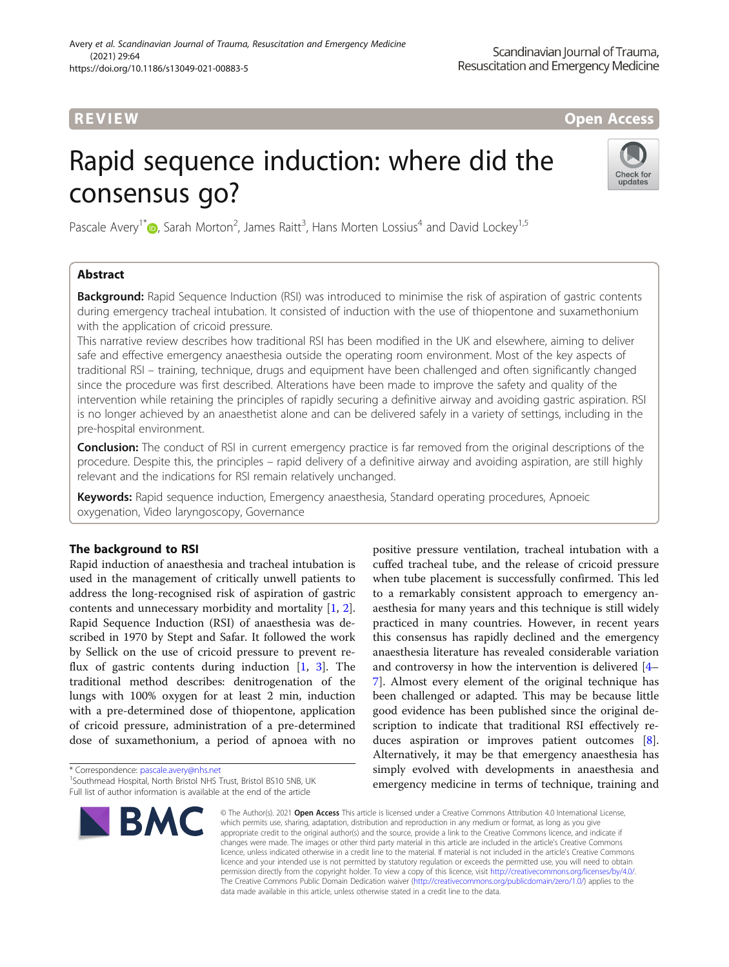# R EVI EW Open Access

# Rapid sequence induction: where did the consensus go?



Pascale Avery<sup>1[\\*](http://orcid.org/0000-0002-0110-0412)</sup><sup>®</sup>, Sarah Morton<sup>2</sup>, James Raitt<sup>3</sup>, Hans Morten Lossius<sup>4</sup> and David Lockey<sup>1,5</sup>

# Abstract

**Background:** Rapid Sequence Induction (RSI) was introduced to minimise the risk of aspiration of gastric contents during emergency tracheal intubation. It consisted of induction with the use of thiopentone and suxamethonium with the application of cricoid pressure.

This narrative review describes how traditional RSI has been modified in the UK and elsewhere, aiming to deliver safe and effective emergency anaesthesia outside the operating room environment. Most of the key aspects of traditional RSI – training, technique, drugs and equipment have been challenged and often significantly changed since the procedure was first described. Alterations have been made to improve the safety and quality of the intervention while retaining the principles of rapidly securing a definitive airway and avoiding gastric aspiration. RSI is no longer achieved by an anaesthetist alone and can be delivered safely in a variety of settings, including in the pre-hospital environment.

Conclusion: The conduct of RSI in current emergency practice is far removed from the original descriptions of the procedure. Despite this, the principles – rapid delivery of a definitive airway and avoiding aspiration, are still highly relevant and the indications for RSI remain relatively unchanged.

Keywords: Rapid sequence induction, Emergency anaesthesia, Standard operating procedures, Apnoeic oxygenation, Video laryngoscopy, Governance

# The background to RSI

Rapid induction of anaesthesia and tracheal intubation is used in the management of critically unwell patients to address the long-recognised risk of aspiration of gastric contents and unnecessary morbidity and mortality [\[1](#page-6-0), [2](#page-6-0)]. Rapid Sequence Induction (RSI) of anaesthesia was described in 1970 by Stept and Safar. It followed the work by Sellick on the use of cricoid pressure to prevent reflux of gastric contents during induction [\[1](#page-6-0), [3](#page-6-0)]. The traditional method describes: denitrogenation of the lungs with 100% oxygen for at least 2 min, induction with a pre-determined dose of thiopentone, application of cricoid pressure, administration of a pre-determined dose of suxamethonium, a period of apnoea with no

\* Correspondence: [pascale.avery@nhs.net](mailto:pascale.avery@nhs.net) <sup>1</sup>

<sup>&</sup>lt;sup>1</sup> Southmead Hospital, North Bristol NHS Trust, Bristol BS10 5NB, UK Full list of author information is available at the end of the article



positive pressure ventilation, tracheal intubation with a cuffed tracheal tube, and the release of cricoid pressure when tube placement is successfully confirmed. This led to a remarkably consistent approach to emergency anaesthesia for many years and this technique is still widely practiced in many countries. However, in recent years this consensus has rapidly declined and the emergency anaesthesia literature has revealed considerable variation and controversy in how the intervention is delivered [[4](#page-6-0)– [7\]](#page-6-0). Almost every element of the original technique has been challenged or adapted. This may be because little good evidence has been published since the original description to indicate that traditional RSI effectively reduces aspiration or improves patient outcomes [\[8](#page-6-0)]. Alternatively, it may be that emergency anaesthesia has simply evolved with developments in anaesthesia and emergency medicine in terms of technique, training and

© The Author(s), 2021 **Open Access** This article is licensed under a Creative Commons Attribution 4.0 International License, which permits use, sharing, adaptation, distribution and reproduction in any medium or format, as long as you give appropriate credit to the original author(s) and the source, provide a link to the Creative Commons licence, and indicate if changes were made. The images or other third party material in this article are included in the article's Creative Commons licence, unless indicated otherwise in a credit line to the material. If material is not included in the article's Creative Commons licence and your intended use is not permitted by statutory regulation or exceeds the permitted use, you will need to obtain permission directly from the copyright holder. To view a copy of this licence, visit [http://creativecommons.org/licenses/by/4.0/.](http://creativecommons.org/licenses/by/4.0/) The Creative Commons Public Domain Dedication waiver [\(http://creativecommons.org/publicdomain/zero/1.0/](http://creativecommons.org/publicdomain/zero/1.0/)) applies to the data made available in this article, unless otherwise stated in a credit line to the data.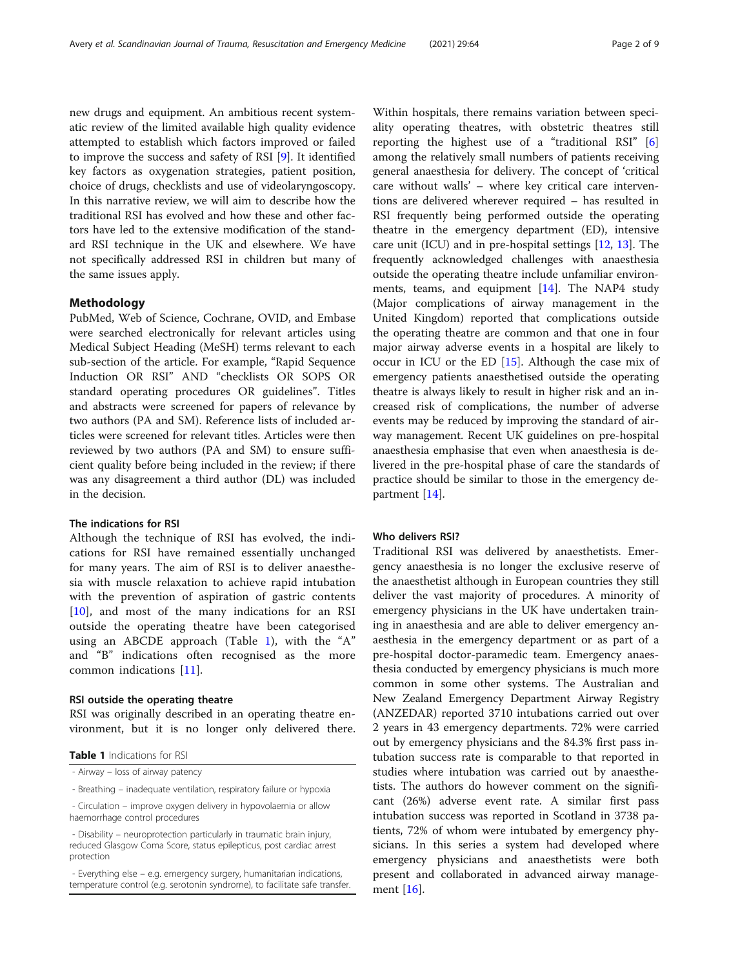new drugs and equipment. An ambitious recent systematic review of the limited available high quality evidence attempted to establish which factors improved or failed to improve the success and safety of RSI [\[9](#page-6-0)]. It identified key factors as oxygenation strategies, patient position, choice of drugs, checklists and use of videolaryngoscopy. In this narrative review, we will aim to describe how the traditional RSI has evolved and how these and other factors have led to the extensive modification of the standard RSI technique in the UK and elsewhere. We have not specifically addressed RSI in children but many of the same issues apply.

### Methodology

PubMed, Web of Science, Cochrane, OVID, and Embase were searched electronically for relevant articles using Medical Subject Heading (MeSH) terms relevant to each sub-section of the article. For example, "Rapid Sequence Induction OR RSI" AND "checklists OR SOPS OR standard operating procedures OR guidelines". Titles and abstracts were screened for papers of relevance by two authors (PA and SM). Reference lists of included articles were screened for relevant titles. Articles were then reviewed by two authors (PA and SM) to ensure sufficient quality before being included in the review; if there was any disagreement a third author (DL) was included in the decision.

### The indications for RSI

Although the technique of RSI has evolved, the indications for RSI have remained essentially unchanged for many years. The aim of RSI is to deliver anaesthesia with muscle relaxation to achieve rapid intubation with the prevention of aspiration of gastric contents [[10\]](#page-6-0), and most of the many indications for an RSI outside the operating theatre have been categorised using an ABCDE approach (Table 1), with the "A" and "B" indications often recognised as the more common indications [\[11](#page-6-0)].

### RSI outside the operating theatre

RSI was originally described in an operating theatre environment, but it is no longer only delivered there.

Table 1 Indications for RSI

- Breathing – inadequate ventilation, respiratory failure or hypoxia

Within hospitals, there remains variation between speciality operating theatres, with obstetric theatres still reporting the highest use of a "traditional RSI" [\[6](#page-6-0)] among the relatively small numbers of patients receiving general anaesthesia for delivery. The concept of 'critical care without walls' – where key critical care interventions are delivered wherever required – has resulted in RSI frequently being performed outside the operating theatre in the emergency department (ED), intensive care unit (ICU) and in pre-hospital settings [\[12,](#page-6-0) [13\]](#page-6-0). The frequently acknowledged challenges with anaesthesia outside the operating theatre include unfamiliar environments, teams, and equipment  $[14]$ . The NAP4 study (Major complications of airway management in the United Kingdom) reported that complications outside the operating theatre are common and that one in four major airway adverse events in a hospital are likely to occur in ICU or the ED  $[15]$  $[15]$ . Although the case mix of emergency patients anaesthetised outside the operating theatre is always likely to result in higher risk and an increased risk of complications, the number of adverse events may be reduced by improving the standard of airway management. Recent UK guidelines on pre-hospital anaesthesia emphasise that even when anaesthesia is delivered in the pre-hospital phase of care the standards of practice should be similar to those in the emergency department [\[14](#page-6-0)].

#### Who delivers RSI?

Traditional RSI was delivered by anaesthetists. Emergency anaesthesia is no longer the exclusive reserve of the anaesthetist although in European countries they still deliver the vast majority of procedures. A minority of emergency physicians in the UK have undertaken training in anaesthesia and are able to deliver emergency anaesthesia in the emergency department or as part of a pre-hospital doctor-paramedic team. Emergency anaesthesia conducted by emergency physicians is much more common in some other systems. The Australian and New Zealand Emergency Department Airway Registry (ANZEDAR) reported 3710 intubations carried out over 2 years in 43 emergency departments. 72% were carried out by emergency physicians and the 84.3% first pass intubation success rate is comparable to that reported in studies where intubation was carried out by anaesthetists. The authors do however comment on the significant (26%) adverse event rate. A similar first pass intubation success was reported in Scotland in 3738 patients, 72% of whom were intubated by emergency physicians. In this series a system had developed where emergency physicians and anaesthetists were both present and collaborated in advanced airway management [[16\]](#page-6-0).

<sup>-</sup> Airway – loss of airway patency

<sup>-</sup> Circulation – improve oxygen delivery in hypovolaemia or allow haemorrhage control procedures

<sup>-</sup> Disability – neuroprotection particularly in traumatic brain injury, reduced Glasgow Coma Score, status epilepticus, post cardiac arrest protection

<sup>-</sup> Everything else – e.g. emergency surgery, humanitarian indications, temperature control (e.g. serotonin syndrome), to facilitate safe transfer.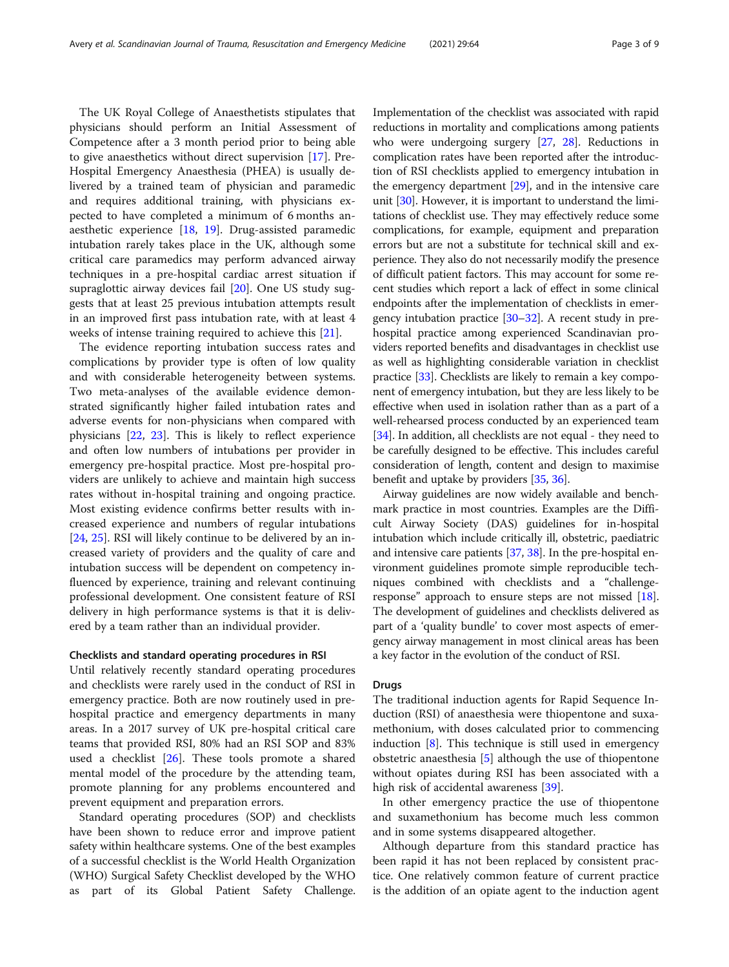The UK Royal College of Anaesthetists stipulates that physicians should perform an Initial Assessment of Competence after a 3 month period prior to being able to give anaesthetics without direct supervision [[17\]](#page-6-0). Pre-Hospital Emergency Anaesthesia (PHEA) is usually delivered by a trained team of physician and paramedic and requires additional training, with physicians expected to have completed a minimum of 6 months anaesthetic experience [[18](#page-6-0), [19\]](#page-6-0). Drug-assisted paramedic intubation rarely takes place in the UK, although some critical care paramedics may perform advanced airway techniques in a pre-hospital cardiac arrest situation if supraglottic airway devices fail [\[20\]](#page-6-0). One US study suggests that at least 25 previous intubation attempts result in an improved first pass intubation rate, with at least 4 weeks of intense training required to achieve this [\[21](#page-6-0)].

The evidence reporting intubation success rates and complications by provider type is often of low quality and with considerable heterogeneity between systems. Two meta-analyses of the available evidence demonstrated significantly higher failed intubation rates and adverse events for non-physicians when compared with physicians [\[22](#page-6-0), [23](#page-6-0)]. This is likely to reflect experience and often low numbers of intubations per provider in emergency pre-hospital practice. Most pre-hospital providers are unlikely to achieve and maintain high success rates without in-hospital training and ongoing practice. Most existing evidence confirms better results with increased experience and numbers of regular intubations [[24,](#page-6-0) [25\]](#page-6-0). RSI will likely continue to be delivered by an increased variety of providers and the quality of care and intubation success will be dependent on competency influenced by experience, training and relevant continuing professional development. One consistent feature of RSI delivery in high performance systems is that it is delivered by a team rather than an individual provider.

### Checklists and standard operating procedures in RSI

Until relatively recently standard operating procedures and checklists were rarely used in the conduct of RSI in emergency practice. Both are now routinely used in prehospital practice and emergency departments in many areas. In a 2017 survey of UK pre-hospital critical care teams that provided RSI, 80% had an RSI SOP and 83% used a checklist [[26\]](#page-6-0). These tools promote a shared mental model of the procedure by the attending team, promote planning for any problems encountered and prevent equipment and preparation errors.

Standard operating procedures (SOP) and checklists have been shown to reduce error and improve patient safety within healthcare systems. One of the best examples of a successful checklist is the World Health Organization (WHO) Surgical Safety Checklist developed by the WHO as part of its Global Patient Safety Challenge.

Implementation of the checklist was associated with rapid reductions in mortality and complications among patients who were undergoing surgery [\[27,](#page-7-0) [28](#page-7-0)]. Reductions in complication rates have been reported after the introduction of RSI checklists applied to emergency intubation in the emergency department  $[29]$ , and in the intensive care unit [[30](#page-7-0)]. However, it is important to understand the limitations of checklist use. They may effectively reduce some complications, for example, equipment and preparation errors but are not a substitute for technical skill and experience. They also do not necessarily modify the presence of difficult patient factors. This may account for some recent studies which report a lack of effect in some clinical endpoints after the implementation of checklists in emergency intubation practice  $[30-32]$  $[30-32]$  $[30-32]$  $[30-32]$ . A recent study in prehospital practice among experienced Scandinavian providers reported benefits and disadvantages in checklist use as well as highlighting considerable variation in checklist practice [\[33\]](#page-7-0). Checklists are likely to remain a key component of emergency intubation, but they are less likely to be effective when used in isolation rather than as a part of a well-rehearsed process conducted by an experienced team [[34](#page-7-0)]. In addition, all checklists are not equal - they need to be carefully designed to be effective. This includes careful consideration of length, content and design to maximise benefit and uptake by providers [[35](#page-7-0), [36\]](#page-7-0).

Airway guidelines are now widely available and benchmark practice in most countries. Examples are the Difficult Airway Society (DAS) guidelines for in-hospital intubation which include critically ill, obstetric, paediatric and intensive care patients [[37](#page-7-0), [38\]](#page-7-0). In the pre-hospital environment guidelines promote simple reproducible techniques combined with checklists and a "challengeresponse" approach to ensure steps are not missed [[18](#page-6-0)]. The development of guidelines and checklists delivered as part of a 'quality bundle' to cover most aspects of emergency airway management in most clinical areas has been a key factor in the evolution of the conduct of RSI.

### Drugs

The traditional induction agents for Rapid Sequence Induction (RSI) of anaesthesia were thiopentone and suxamethonium, with doses calculated prior to commencing induction  $[8]$  $[8]$ . This technique is still used in emergency obstetric anaesthesia [\[5](#page-6-0)] although the use of thiopentone without opiates during RSI has been associated with a high risk of accidental awareness [\[39](#page-7-0)].

In other emergency practice the use of thiopentone and suxamethonium has become much less common and in some systems disappeared altogether.

Although departure from this standard practice has been rapid it has not been replaced by consistent practice. One relatively common feature of current practice is the addition of an opiate agent to the induction agent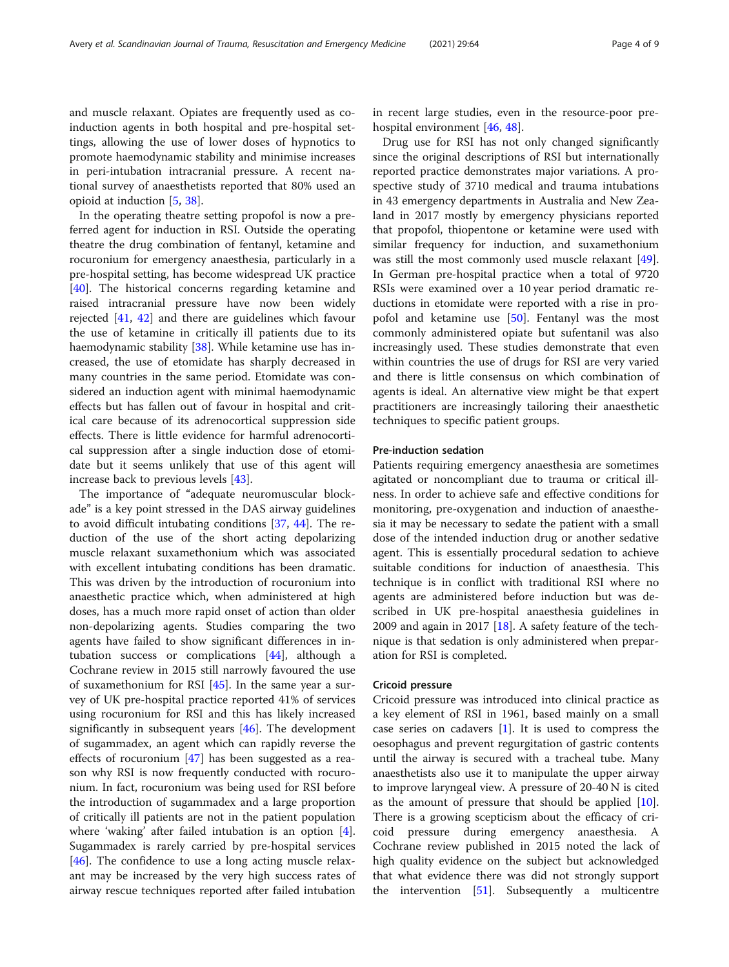and muscle relaxant. Opiates are frequently used as coinduction agents in both hospital and pre-hospital settings, allowing the use of lower doses of hypnotics to promote haemodynamic stability and minimise increases in peri-intubation intracranial pressure. A recent national survey of anaesthetists reported that 80% used an opioid at induction [\[5](#page-6-0), [38](#page-7-0)].

In the operating theatre setting propofol is now a preferred agent for induction in RSI. Outside the operating theatre the drug combination of fentanyl, ketamine and rocuronium for emergency anaesthesia, particularly in a pre-hospital setting, has become widespread UK practice [[40\]](#page-7-0). The historical concerns regarding ketamine and raised intracranial pressure have now been widely rejected [\[41](#page-7-0), [42](#page-7-0)] and there are guidelines which favour the use of ketamine in critically ill patients due to its haemodynamic stability [[38](#page-7-0)]. While ketamine use has increased, the use of etomidate has sharply decreased in many countries in the same period. Etomidate was considered an induction agent with minimal haemodynamic effects but has fallen out of favour in hospital and critical care because of its adrenocortical suppression side effects. There is little evidence for harmful adrenocortical suppression after a single induction dose of etomidate but it seems unlikely that use of this agent will increase back to previous levels [\[43](#page-7-0)].

The importance of "adequate neuromuscular blockade" is a key point stressed in the DAS airway guidelines to avoid difficult intubating conditions [\[37](#page-7-0), [44\]](#page-7-0). The reduction of the use of the short acting depolarizing muscle relaxant suxamethonium which was associated with excellent intubating conditions has been dramatic. This was driven by the introduction of rocuronium into anaesthetic practice which, when administered at high doses, has a much more rapid onset of action than older non-depolarizing agents. Studies comparing the two agents have failed to show significant differences in intubation success or complications [[44\]](#page-7-0), although a Cochrane review in 2015 still narrowly favoured the use of suxamethonium for RSI  $[45]$ . In the same year a survey of UK pre-hospital practice reported 41% of services using rocuronium for RSI and this has likely increased significantly in subsequent years [[46\]](#page-7-0). The development of sugammadex, an agent which can rapidly reverse the effects of rocuronium [[47\]](#page-7-0) has been suggested as a reason why RSI is now frequently conducted with rocuronium. In fact, rocuronium was being used for RSI before the introduction of sugammadex and a large proportion of critically ill patients are not in the patient population where 'waking' after failed intubation is an option [\[4](#page-6-0)]. Sugammadex is rarely carried by pre-hospital services [[46\]](#page-7-0). The confidence to use a long acting muscle relaxant may be increased by the very high success rates of airway rescue techniques reported after failed intubation

in recent large studies, even in the resource-poor prehospital environment [\[46,](#page-7-0) [48\]](#page-7-0).

Drug use for RSI has not only changed significantly since the original descriptions of RSI but internationally reported practice demonstrates major variations. A prospective study of 3710 medical and trauma intubations in 43 emergency departments in Australia and New Zealand in 2017 mostly by emergency physicians reported that propofol, thiopentone or ketamine were used with similar frequency for induction, and suxamethonium was still the most commonly used muscle relaxant [\[49](#page-7-0)]. In German pre-hospital practice when a total of 9720 RSIs were examined over a 10 year period dramatic reductions in etomidate were reported with a rise in pro-pofol and ketamine use [[50](#page-7-0)]. Fentanyl was the most commonly administered opiate but sufentanil was also increasingly used. These studies demonstrate that even within countries the use of drugs for RSI are very varied and there is little consensus on which combination of agents is ideal. An alternative view might be that expert practitioners are increasingly tailoring their anaesthetic techniques to specific patient groups.

### Pre-induction sedation

Patients requiring emergency anaesthesia are sometimes agitated or noncompliant due to trauma or critical illness. In order to achieve safe and effective conditions for monitoring, pre-oxygenation and induction of anaesthesia it may be necessary to sedate the patient with a small dose of the intended induction drug or another sedative agent. This is essentially procedural sedation to achieve suitable conditions for induction of anaesthesia. This technique is in conflict with traditional RSI where no agents are administered before induction but was described in UK pre-hospital anaesthesia guidelines in 2009 and again in 2017 [\[18\]](#page-6-0). A safety feature of the technique is that sedation is only administered when preparation for RSI is completed.

#### Cricoid pressure

Cricoid pressure was introduced into clinical practice as a key element of RSI in 1961, based mainly on a small case series on cadavers [[1](#page-6-0)]. It is used to compress the oesophagus and prevent regurgitation of gastric contents until the airway is secured with a tracheal tube. Many anaesthetists also use it to manipulate the upper airway to improve laryngeal view. A pressure of 20-40 N is cited as the amount of pressure that should be applied [\[10](#page-6-0)]. There is a growing scepticism about the efficacy of cricoid pressure during emergency anaesthesia. A Cochrane review published in 2015 noted the lack of high quality evidence on the subject but acknowledged that what evidence there was did not strongly support the intervention [\[51](#page-7-0)]. Subsequently a multicentre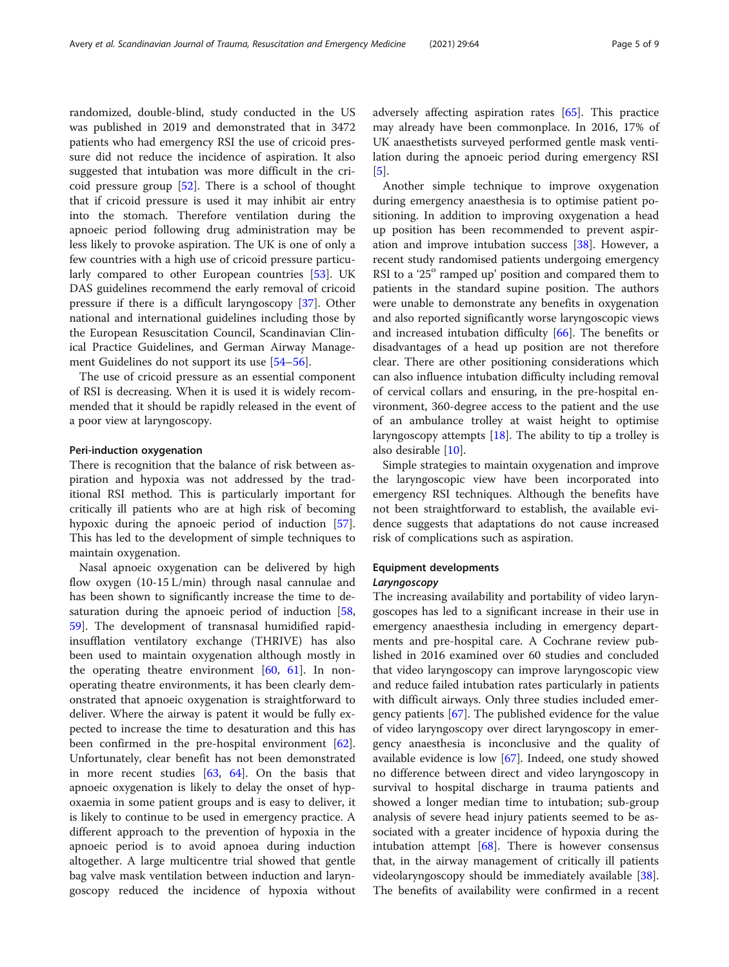randomized, double-blind, study conducted in the US was published in 2019 and demonstrated that in 3472 patients who had emergency RSI the use of cricoid pressure did not reduce the incidence of aspiration. It also suggested that intubation was more difficult in the cricoid pressure group [\[52](#page-7-0)]. There is a school of thought that if cricoid pressure is used it may inhibit air entry into the stomach. Therefore ventilation during the apnoeic period following drug administration may be less likely to provoke aspiration. The UK is one of only a few countries with a high use of cricoid pressure particularly compared to other European countries [\[53](#page-7-0)]. UK DAS guidelines recommend the early removal of cricoid pressure if there is a difficult laryngoscopy [[37\]](#page-7-0). Other national and international guidelines including those by the European Resuscitation Council, Scandinavian Clinical Practice Guidelines, and German Airway Management Guidelines do not support its use [[54](#page-7-0)–[56](#page-7-0)].

The use of cricoid pressure as an essential component of RSI is decreasing. When it is used it is widely recommended that it should be rapidly released in the event of a poor view at laryngoscopy.

#### Peri-induction oxygenation

There is recognition that the balance of risk between aspiration and hypoxia was not addressed by the traditional RSI method. This is particularly important for critically ill patients who are at high risk of becoming hypoxic during the apnoeic period of induction [\[57](#page-7-0)]. This has led to the development of simple techniques to maintain oxygenation.

Nasal apnoeic oxygenation can be delivered by high flow oxygen (10-15 L/min) through nasal cannulae and has been shown to significantly increase the time to de-saturation during the apnoeic period of induction [[58](#page-7-0), [59\]](#page-7-0). The development of transnasal humidified rapidinsufflation ventilatory exchange (THRIVE) has also been used to maintain oxygenation although mostly in the operating theatre environment  $[60, 61]$  $[60, 61]$  $[60, 61]$  $[60, 61]$ . In nonoperating theatre environments, it has been clearly demonstrated that apnoeic oxygenation is straightforward to deliver. Where the airway is patent it would be fully expected to increase the time to desaturation and this has been confirmed in the pre-hospital environment  $[62]$  $[62]$ . Unfortunately, clear benefit has not been demonstrated in more recent studies  $[63, 64]$  $[63, 64]$  $[63, 64]$  $[63, 64]$ . On the basis that apnoeic oxygenation is likely to delay the onset of hypoxaemia in some patient groups and is easy to deliver, it is likely to continue to be used in emergency practice. A different approach to the prevention of hypoxia in the apnoeic period is to avoid apnoea during induction altogether. A large multicentre trial showed that gentle bag valve mask ventilation between induction and laryngoscopy reduced the incidence of hypoxia without adversely affecting aspiration rates [[65\]](#page-7-0). This practice may already have been commonplace. In 2016, 17% of UK anaesthetists surveyed performed gentle mask ventilation during the apnoeic period during emergency RSI [[5\]](#page-6-0).

Another simple technique to improve oxygenation during emergency anaesthesia is to optimise patient positioning. In addition to improving oxygenation a head up position has been recommended to prevent aspiration and improve intubation success [[38](#page-7-0)]. However, a recent study randomised patients undergoing emergency RSI to a ' $25^\circ$  ramped up' position and compared them to patients in the standard supine position. The authors were unable to demonstrate any benefits in oxygenation and also reported significantly worse laryngoscopic views and increased intubation difficulty [[66\]](#page-8-0). The benefits or disadvantages of a head up position are not therefore clear. There are other positioning considerations which can also influence intubation difficulty including removal of cervical collars and ensuring, in the pre-hospital environment, 360-degree access to the patient and the use of an ambulance trolley at waist height to optimise laryngoscopy attempts [\[18](#page-6-0)]. The ability to tip a trolley is also desirable [[10\]](#page-6-0).

Simple strategies to maintain oxygenation and improve the laryngoscopic view have been incorporated into emergency RSI techniques. Although the benefits have not been straightforward to establish, the available evidence suggests that adaptations do not cause increased risk of complications such as aspiration.

## Equipment developments

The increasing availability and portability of video laryngoscopes has led to a significant increase in their use in emergency anaesthesia including in emergency departments and pre-hospital care. A Cochrane review published in 2016 examined over 60 studies and concluded that video laryngoscopy can improve laryngoscopic view and reduce failed intubation rates particularly in patients with difficult airways. Only three studies included emergency patients [\[67\]](#page-8-0). The published evidence for the value of video laryngoscopy over direct laryngoscopy in emergency anaesthesia is inconclusive and the quality of available evidence is low [\[67](#page-8-0)]. Indeed, one study showed no difference between direct and video laryngoscopy in survival to hospital discharge in trauma patients and showed a longer median time to intubation; sub-group analysis of severe head injury patients seemed to be associated with a greater incidence of hypoxia during the intubation attempt  $[68]$  $[68]$  $[68]$ . There is however consensus that, in the airway management of critically ill patients videolaryngoscopy should be immediately available [\[38](#page-7-0)]. The benefits of availability were confirmed in a recent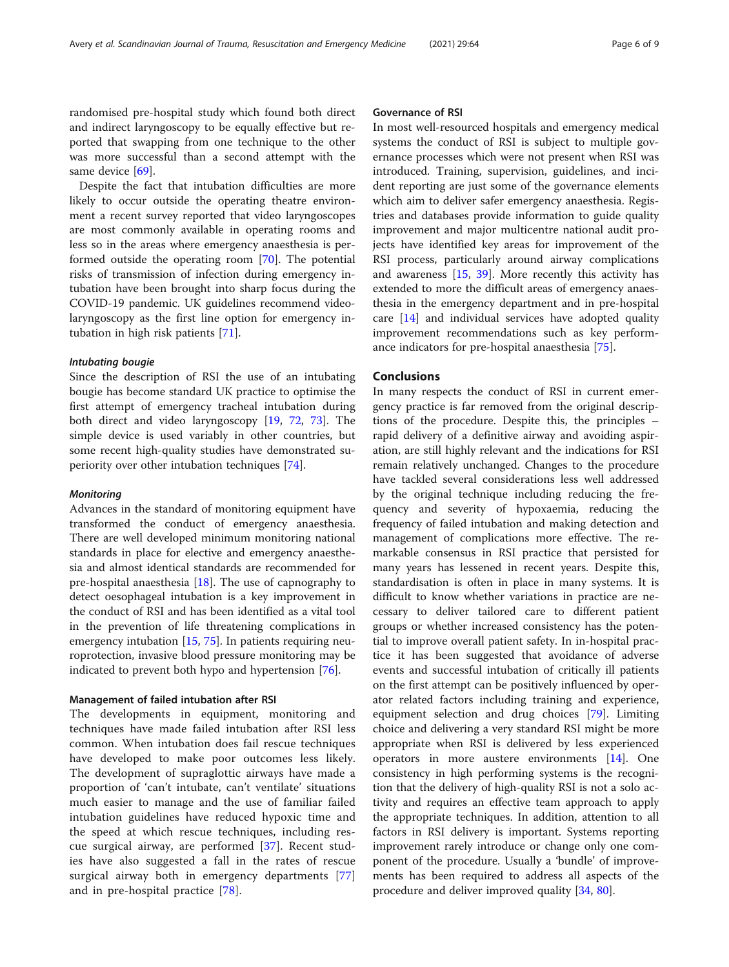randomised pre-hospital study which found both direct and indirect laryngoscopy to be equally effective but reported that swapping from one technique to the other was more successful than a second attempt with the same device [[69\]](#page-8-0).

Despite the fact that intubation difficulties are more likely to occur outside the operating theatre environment a recent survey reported that video laryngoscopes are most commonly available in operating rooms and less so in the areas where emergency anaesthesia is performed outside the operating room [\[70](#page-8-0)]. The potential risks of transmission of infection during emergency intubation have been brought into sharp focus during the COVID-19 pandemic. UK guidelines recommend videolaryngoscopy as the first line option for emergency intubation in high risk patients [[71\]](#page-8-0).

Since the description of RSI the use of an intubating bougie has become standard UK practice to optimise the first attempt of emergency tracheal intubation during both direct and video laryngoscopy [[19,](#page-6-0) [72](#page-8-0), [73\]](#page-8-0). The simple device is used variably in other countries, but some recent high-quality studies have demonstrated superiority over other intubation techniques [[74\]](#page-8-0).

Advances in the standard of monitoring equipment have transformed the conduct of emergency anaesthesia. There are well developed minimum monitoring national standards in place for elective and emergency anaesthesia and almost identical standards are recommended for pre-hospital anaesthesia [\[18](#page-6-0)]. The use of capnography to detect oesophageal intubation is a key improvement in the conduct of RSI and has been identified as a vital tool in the prevention of life threatening complications in emergency intubation [[15,](#page-6-0) [75\]](#page-8-0). In patients requiring neuroprotection, invasive blood pressure monitoring may be indicated to prevent both hypo and hypertension [[76](#page-8-0)].

### Management of failed intubation after RSI

The developments in equipment, monitoring and techniques have made failed intubation after RSI less common. When intubation does fail rescue techniques have developed to make poor outcomes less likely. The development of supraglottic airways have made a proportion of 'can't intubate, can't ventilate' situations much easier to manage and the use of familiar failed intubation guidelines have reduced hypoxic time and the speed at which rescue techniques, including rescue surgical airway, are performed [[37\]](#page-7-0). Recent studies have also suggested a fall in the rates of rescue surgical airway both in emergency departments [\[77](#page-8-0)] and in pre-hospital practice [[78](#page-8-0)].

#### Governance of RSI

In most well-resourced hospitals and emergency medical systems the conduct of RSI is subject to multiple governance processes which were not present when RSI was introduced. Training, supervision, guidelines, and incident reporting are just some of the governance elements which aim to deliver safer emergency anaesthesia. Registries and databases provide information to guide quality improvement and major multicentre national audit projects have identified key areas for improvement of the RSI process, particularly around airway complications and awareness [[15,](#page-6-0) [39](#page-7-0)]. More recently this activity has extended to more the difficult areas of emergency anaesthesia in the emergency department and in pre-hospital care [[14\]](#page-6-0) and individual services have adopted quality improvement recommendations such as key performance indicators for pre-hospital anaesthesia [\[75\]](#page-8-0).

#### Conclusions

In many respects the conduct of RSI in current emergency practice is far removed from the original descriptions of the procedure. Despite this, the principles – rapid delivery of a definitive airway and avoiding aspiration, are still highly relevant and the indications for RSI remain relatively unchanged. Changes to the procedure have tackled several considerations less well addressed by the original technique including reducing the frequency and severity of hypoxaemia, reducing the frequency of failed intubation and making detection and management of complications more effective. The remarkable consensus in RSI practice that persisted for many years has lessened in recent years. Despite this, standardisation is often in place in many systems. It is difficult to know whether variations in practice are necessary to deliver tailored care to different patient groups or whether increased consistency has the potential to improve overall patient safety. In in-hospital practice it has been suggested that avoidance of adverse events and successful intubation of critically ill patients on the first attempt can be positively influenced by operator related factors including training and experience, equipment selection and drug choices [[79](#page-8-0)]. Limiting choice and delivering a very standard RSI might be more appropriate when RSI is delivered by less experienced operators in more austere environments [\[14](#page-6-0)]. One consistency in high performing systems is the recognition that the delivery of high-quality RSI is not a solo activity and requires an effective team approach to apply the appropriate techniques. In addition, attention to all factors in RSI delivery is important. Systems reporting improvement rarely introduce or change only one component of the procedure. Usually a 'bundle' of improvements has been required to address all aspects of the procedure and deliver improved quality [[34,](#page-7-0) [80\]](#page-8-0).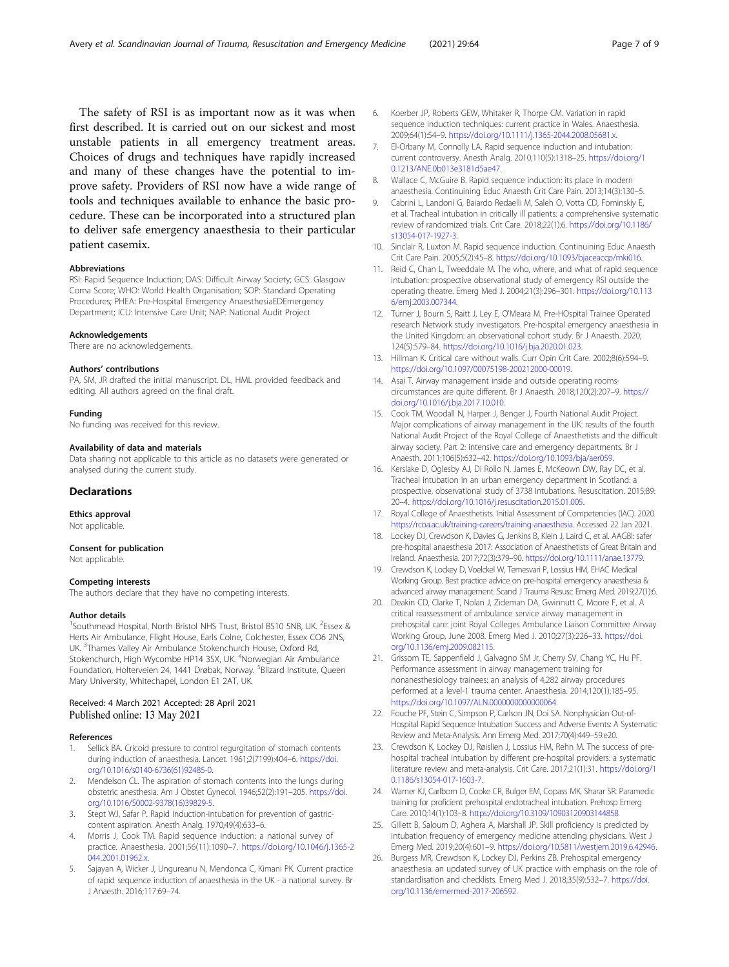<span id="page-6-0"></span>The safety of RSI is as important now as it was when first described. It is carried out on our sickest and most unstable patients in all emergency treatment areas. Choices of drugs and techniques have rapidly increased and many of these changes have the potential to improve safety. Providers of RSI now have a wide range of tools and techniques available to enhance the basic procedure. These can be incorporated into a structured plan to deliver safe emergency anaesthesia to their particular patient casemix.

#### Abbreviations

RSI: Rapid Sequence Induction; DAS: Difficult Airway Society; GCS: Glasgow Coma Score; WHO: World Health Organisation; SOP: Standard Operating Procedures; PHEA: Pre-Hospital Emergency AnaesthesiaEDEmergency Department; ICU: Intensive Care Unit; NAP: National Audit Project

#### Acknowledgements

There are no acknowledgements.

#### Authors' contributions

PA, SM, JR drafted the initial manuscript. DL, HML provided feedback and editing. All authors agreed on the final draft.

#### Funding

No funding was received for this review.

#### Availability of data and materials

Data sharing not applicable to this article as no datasets were generated or analysed during the current study.

#### Declarations

#### Ethics approval

Not applicable.

# Consent for publication

Not applicable.

#### Competing interests

The authors declare that they have no competing interests.

#### Author details

<sup>1</sup>Southmead Hospital, North Bristol NHS Trust, Bristol BS10 5NB, UK. <sup>2</sup>Essex & Herts Air Ambulance, Flight House, Earls Colne, Colchester, Essex CO6 2NS, UK. <sup>3</sup>Thames Valley Air Ambulance Stokenchurch House, Oxford Rd, Stokenchurch, High Wycombe HP14 3SX, UK. <sup>4</sup>Norwegian Air Ambulance Foundation, Holterveien 24, 1441 Drøbak, Norway. <sup>5</sup>Blizard Institute, Queen Mary University, Whitechapel, London E1 2AT, UK.

### Received: 4 March 2021 Accepted: 28 April 2021 Published online: 13 May 2021

#### References

- 1. Sellick BA. Cricoid pressure to control regurgitation of stomach contents during induction of anaesthesia. Lancet. 1961;2(7199):404–6. [https://doi.](https://doi.org/10.1016/s0140-6736(61)92485-0) [org/10.1016/s0140-6736\(61\)92485-0](https://doi.org/10.1016/s0140-6736(61)92485-0).
- 2. Mendelson CL. The aspiration of stomach contents into the lungs during obstetric anesthesia. Am J Obstet Gynecol. 1946;52(2):191–205. [https://doi.](https://doi.org/10.1016/S0002-9378(16)39829-5) [org/10.1016/S0002-9378\(16\)39829-5.](https://doi.org/10.1016/S0002-9378(16)39829-5)
- 3. Stept WJ, Safar P. Rapid induction-intubation for prevention of gastriccontent aspiration. Anesth Analg. 1970;49(4):633–6.
- 4. Morris J, Cook TM. Rapid sequence induction: a national survey of practice. Anaesthesia. 2001;56(11):1090–7. [https://doi.org/10.1046/j.1365-2](https://doi.org/10.1046/j.1365-2044.2001.01962.x) [044.2001.01962.x.](https://doi.org/10.1046/j.1365-2044.2001.01962.x)
- 5. Sajayan A, Wicker J, Ungureanu N, Mendonca C, Kimani PK. Current practice of rapid sequence induction of anaesthesia in the UK - a national survey. Br J Anaesth. 2016;117:69–74.
- 6. Koerber JP, Roberts GEW, Whitaker R, Thorpe CM. Variation in rapid sequence induction techniques: current practice in Wales. Anaesthesia. 2009;64(1):54–9. <https://doi.org/10.1111/j.1365-2044.2008.05681.x>.
- 7. El-Orbany M, Connolly LA. Rapid sequence induction and intubation: current controversy. Anesth Analg. 2010;110(5):1318–25. [https://doi.org/1](https://doi.org/10.1213/ANE.0b013e3181d5ae47) [0.1213/ANE.0b013e3181d5ae47.](https://doi.org/10.1213/ANE.0b013e3181d5ae47)
- 8. Wallace C, McGuire B. Rapid sequence induction: its place in modern anaesthesia. Continuining Educ Anaesth Crit Care Pain. 2013;14(3):130–5.
- 9. Cabrini L, Landoni G, Baiardo Redaelli M, Saleh O, Votta CD, Fominskiy E, et al. Tracheal intubation in critically ill patients: a comprehensive systematic review of randomized trials. Crit Care. 2018;22(1):6. [https://doi.org/10.1186/](https://doi.org/10.1186/s13054-017-1927-3) [s13054-017-1927-3.](https://doi.org/10.1186/s13054-017-1927-3)
- 10. Sinclair R, Luxton M. Rapid sequence induction. Continuining Educ Anaesth Crit Care Pain. 2005;5(2):45–8. [https://doi.org/10.1093/bjaceaccp/mki016.](https://doi.org/10.1093/bjaceaccp/mki016)
- 11. Reid C, Chan L, Tweeddale M. The who, where, and what of rapid sequence intubation: prospective observational study of emergency RSI outside the operating theatre. Emerg Med J. 2004;21(3):296–301. [https://doi.org/10.113](https://doi.org/10.1136/emj.2003.007344) [6/emj.2003.007344.](https://doi.org/10.1136/emj.2003.007344)
- 12. Turner J, Bourn S, Raitt J, Ley E, O'Meara M, Pre-HOspital Trainee Operated research Network study investigators. Pre-hospital emergency anaesthesia in the United Kingdom: an observational cohort study. Br J Anaesth. 2020; 124(5):579–84. [https://doi.org/10.1016/j.bja.2020.01.023.](https://doi.org/10.1016/j.bja.2020.01.023)
- 13. Hillman K. Critical care without walls. Curr Opin Crit Care. 2002;8(6):594–9. <https://doi.org/10.1097/00075198-200212000-00019>.
- 14. Asai T. Airway management inside and outside operating roomscircumstances are quite different. Br J Anaesth. 2018;120(2):207–9. [https://](https://doi.org/10.1016/j.bja.2017.10.010) [doi.org/10.1016/j.bja.2017.10.010.](https://doi.org/10.1016/j.bja.2017.10.010)
- 15. Cook TM, Woodall N, Harper J, Benger J, Fourth National Audit Project. Major complications of airway management in the UK: results of the fourth National Audit Project of the Royal College of Anaesthetists and the difficult airway society. Part 2: intensive care and emergency departments. Br J Anaesth. 2011;106(5):632–42. [https://doi.org/10.1093/bja/aer059.](https://doi.org/10.1093/bja/aer059)
- 16. Kerslake D, Oglesby AJ, Di Rollo N, James E, McKeown DW, Ray DC, et al. Tracheal intubation in an urban emergency department in Scotland: a prospective, observational study of 3738 intubations. Resuscitation. 2015;89: 20–4. [https://doi.org/10.1016/j.resuscitation.2015.01.005.](https://doi.org/10.1016/j.resuscitation.2015.01.005)
- 17. Royal College of Anaesthetists. Initial Assessment of Competencies (IAC). 2020. <https://rcoa.ac.uk/training-careers/training-anaesthesia>. Accessed 22 Jan 2021.
- 18. Lockey DJ, Crewdson K, Davies G, Jenkins B, Klein J, Laird C, et al. AAGBI: safer pre-hospital anaesthesia 2017: Association of Anaesthetists of Great Britain and Ireland. Anaesthesia. 2017;72(3):379–90. <https://doi.org/10.1111/anae.13779>.
- 19. Crewdson K, Lockey D, Voelckel W, Temesvari P, Lossius HM, EHAC Medical Working Group. Best practice advice on pre-hospital emergency anaesthesia & advanced airway management. Scand J Trauma Resusc Emerg Med. 2019;27(1):6.
- 20. Deakin CD, Clarke T, Nolan J, Zideman DA, Gwinnutt C, Moore F, et al. A critical reassessment of ambulance service airway management in prehospital care: joint Royal Colleges Ambulance Liaison Committee Airway Working Group, June 2008. Emerg Med J. 2010;27(3):226–33. [https://doi.](https://doi.org/10.1136/emj.2009.082115) [org/10.1136/emj.2009.082115](https://doi.org/10.1136/emj.2009.082115).
- 21. Grissom TE, Sappenfield J, Galvagno SM Jr, Cherry SV, Chang YC, Hu PF. Performance assessment in airway management training for nonanesthesiology trainees: an analysis of 4,282 airway procedures performed at a level-1 trauma center. Anaesthesia. 2014;120(1):185–95. [https://doi.org/10.1097/ALN.0000000000000064.](https://doi.org/10.1097/ALN.0000000000000064)
- 22. Fouche PF, Stein C, Simpson P, Carlson JN, Doi SA. Nonphysician Out-of-Hospital Rapid Sequence Intubation Success and Adverse Events: A Systematic Review and Meta-Analysis. Ann Emerg Med. 2017;70(4):449–59.e20.
- 23. Crewdson K, Lockey DJ, Røislien J, Lossius HM, Rehn M. The success of prehospital tracheal intubation by different pre-hospital providers: a systematic literature review and meta-analysis. Crit Care. 2017;21(1):31. [https://doi.org/1](https://doi.org/10.1186/s13054-017-1603-7) [0.1186/s13054-017-1603-7.](https://doi.org/10.1186/s13054-017-1603-7)
- 24. Warner KJ, Carlbom D, Cooke CR, Bulger EM, Copass MK, Sharar SR. Paramedic training for proficient prehospital endotracheal intubation. Prehosp Emerg Care. 2010;14(1):103–8. <https://doi.org/10.3109/10903120903144858>.
- 25. Gillett B, Saloum D, Aghera A, Marshall JP. Skill proficiency is predicted by intubation frequency of emergency medicine attending physicians. West J Emerg Med. 2019;20(4):601–9. [https://doi.org/10.5811/westjem.2019.6.42946.](https://doi.org/10.5811/westjem.2019.6.42946)
- 26. Burgess MR, Crewdson K, Lockey DJ, Perkins ZB. Prehospital emergency anaesthesia: an updated survey of UK practice with emphasis on the role of standardisation and checklists. Emerg Med J. 2018;35(9):532–7. [https://doi.](https://doi.org/10.1136/emermed-2017-206592) [org/10.1136/emermed-2017-206592](https://doi.org/10.1136/emermed-2017-206592).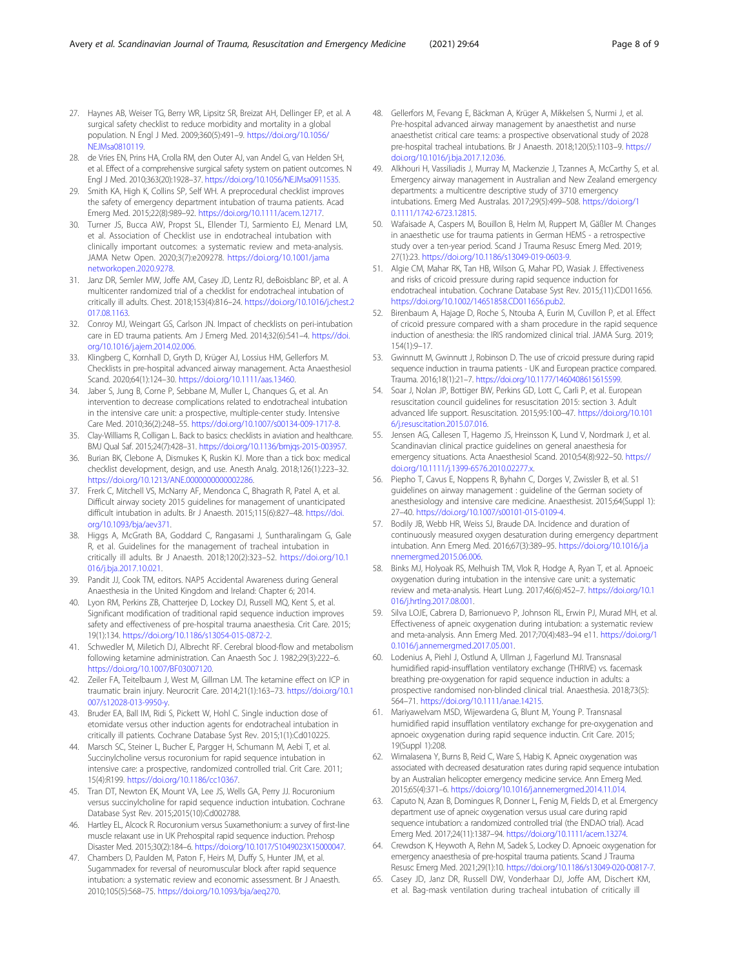- <span id="page-7-0"></span>27. Haynes AB, Weiser TG, Berry WR, Lipsitz SR, Breizat AH, Dellinger EP, et al. A surgical safety checklist to reduce morbidity and mortality in a global population. N Engl J Med. 2009;360(5):491–9. [https://doi.org/10.1056/](https://doi.org/10.1056/NEJMsa0810119) [NEJMsa0810119](https://doi.org/10.1056/NEJMsa0810119).
- 28. de Vries EN, Prins HA, Crolla RM, den Outer AJ, van Andel G, van Helden SH, et al. Effect of a comprehensive surgical safety system on patient outcomes. N Engl J Med. 2010;363(20):1928–37. [https://doi.org/10.1056/NEJMsa0911535.](https://doi.org/10.1056/NEJMsa0911535)
- 29. Smith KA, High K, Collins SP, Self WH. A preprocedural checklist improves the safety of emergency department intubation of trauma patients. Acad Emerg Med. 2015;22(8):989–92. <https://doi.org/10.1111/acem.12717>.
- 30. Turner JS, Bucca AW, Propst SL, Ellender TJ, Sarmiento EJ, Menard LM, et al. Association of Checklist use in endotracheal intubation with clinically important outcomes: a systematic review and meta-analysis. JAMA Netw Open. 2020;3(7):e209278. [https://doi.org/10.1001/jama](https://doi.org/10.1001/jamanetworkopen.2020.9278) [networkopen.2020.9278](https://doi.org/10.1001/jamanetworkopen.2020.9278).
- 31. Janz DR, Semler MW, Joffe AM, Casey JD, Lentz RJ, deBoisblanc BP, et al. A multicenter randomized trial of a checklist for endotracheal intubation of critically ill adults. Chest. 2018;153(4):816–24. [https://doi.org/10.1016/j.chest.2](https://doi.org/10.1016/j.chest.2017.08.1163) [017.08.1163.](https://doi.org/10.1016/j.chest.2017.08.1163)
- 32. Conroy MJ, Weingart GS, Carlson JN. Impact of checklists on peri-intubation care in ED trauma patients. Am J Emerg Med. 2014;32(6):541–4. [https://doi.](https://doi.org/10.1016/j.ajem.2014.02.006) [org/10.1016/j.ajem.2014.02.006.](https://doi.org/10.1016/j.ajem.2014.02.006)
- 33. Klingberg C, Kornhall D, Gryth D, Krüger AJ, Lossius HM, Gellerfors M. Checklists in pre-hospital advanced airway management. Acta Anaesthesiol Scand. 2020;64(1):124–30. [https://doi.org/10.1111/aas.13460.](https://doi.org/10.1111/aas.13460)
- 34. Jaber S, Jung B, Corne P, Sebbane M, Muller L, Chanques G, et al. An intervention to decrease complications related to endotracheal intubation in the intensive care unit: a prospective, multiple-center study. Intensive Care Med. 2010;36(2):248–55. [https://doi.org/10.1007/s00134-009-1717-8.](https://doi.org/10.1007/s00134-009-1717-8)
- 35. Clay-Williams R, Colligan L. Back to basics: checklists in aviation and healthcare. BMJ Qual Saf. 2015;24(7):428–31. <https://doi.org/10.1136/bmjqs-2015-003957>.
- 36. Burian BK, Clebone A, Dismukes K, Ruskin KJ. More than a tick box: medical checklist development, design, and use. Anesth Analg. 2018;126(1):223–32. [https://doi.org/10.1213/ANE.0000000000002286.](https://doi.org/10.1213/ANE.0000000000002286)
- 37. Frerk C, Mitchell VS, McNarry AF, Mendonca C, Bhagrath R, Patel A, et al. Difficult airway society 2015 guidelines for management of unanticipated difficult intubation in adults. Br J Anaesth. 2015;115(6):827–48. [https://doi.](https://doi.org/10.1093/bja/aev371) [org/10.1093/bja/aev371.](https://doi.org/10.1093/bja/aev371)
- 38. Higgs A, McGrath BA, Goddard C, Rangasami J, Suntharalingam G, Gale R, et al. Guidelines for the management of tracheal intubation in critically ill adults. Br J Anaesth. 2018;120(2):323–52. [https://doi.org/10.1](https://doi.org/10.1016/j.bja.2017.10.021) [016/j.bja.2017.10.021.](https://doi.org/10.1016/j.bja.2017.10.021)
- 39. Pandit JJ, Cook TM, editors. NAP5 Accidental Awareness during General Anaesthesia in the United Kingdom and Ireland: Chapter 6; 2014.
- 40. Lyon RM, Perkins ZB, Chatterjee D, Lockey DJ, Russell MQ, Kent S, et al. Significant modification of traditional rapid sequence induction improves safety and effectiveness of pre-hospital trauma anaesthesia. Crit Care. 2015; 19(1):134. [https://doi.org/10.1186/s13054-015-0872-2.](https://doi.org/10.1186/s13054-015-0872-2)
- 41. Schwedler M, Miletich DJ, Albrecht RF. Cerebral blood-flow and metabolism following ketamine administration. Can Anaesth Soc J. 1982;29(3):222–6. <https://doi.org/10.1007/BF03007120>.
- 42. Zeiler FA, Teitelbaum J, West M, Gillman LM. The ketamine effect on ICP in traumatic brain injury. Neurocrit Care. 2014;21(1):163–73. [https://doi.org/10.1](https://doi.org/10.1007/s12028-013-9950-y) [007/s12028-013-9950-y](https://doi.org/10.1007/s12028-013-9950-y).
- 43. Bruder EA, Ball IM, Ridi S, Pickett W, Hohl C. Single induction dose of etomidate versus other induction agents for endotracheal intubation in critically ill patients. Cochrane Database Syst Rev. 2015;1(1):Cd010225.
- 44. Marsch SC, Steiner L, Bucher E, Pargger H, Schumann M, Aebi T, et al. Succinylcholine versus rocuronium for rapid sequence intubation in intensive care: a prospective, randomized controlled trial. Crit Care. 2011; 15(4):R199. <https://doi.org/10.1186/cc10367>.
- 45. Tran DT, Newton EK, Mount VA, Lee JS, Wells GA, Perry JJ. Rocuronium versus succinylcholine for rapid sequence induction intubation. Cochrane Database Syst Rev. 2015;2015(10):Cd002788.
- 46. Hartley EL, Alcock R. Rocuronium versus Suxamethonium: a survey of first-line muscle relaxant use in UK Prehospital rapid sequence induction. Prehosp Disaster Med. 2015;30(2):184–6. <https://doi.org/10.1017/S1049023X15000047>.
- 47. Chambers D, Paulden M, Paton F, Heirs M, Duffy S, Hunter JM, et al. Sugammadex for reversal of neuromuscular block after rapid sequence intubation: a systematic review and economic assessment. Br J Anaesth. 2010;105(5):568–75. [https://doi.org/10.1093/bja/aeq270.](https://doi.org/10.1093/bja/aeq270)
- 48. Gellerfors M, Fevang E, Bäckman A, Krüger A, Mikkelsen S, Nurmi J, et al. Pre-hospital advanced airway management by anaesthetist and nurse anaesthetist critical care teams: a prospective observational study of 2028 pre-hospital tracheal intubations. Br J Anaesth. 2018;120(5):1103–9. [https://](https://doi.org/10.1016/j.bja.2017.12.036) [doi.org/10.1016/j.bja.2017.12.036.](https://doi.org/10.1016/j.bja.2017.12.036)
- 49. Alkhouri H, Vassiliadis J, Murray M, Mackenzie J, Tzannes A, McCarthy S, et al. Emergency airway management in Australian and New Zealand emergency departments: a multicentre descriptive study of 3710 emergency intubations. Emerg Med Australas. 2017;29(5):499–508. [https://doi.org/1](https://doi.org/10.1111/1742-6723.12815) [0.1111/1742-6723.12815](https://doi.org/10.1111/1742-6723.12815).
- 50. Wafaisade A, Caspers M, Bouillon B, Helm M, Ruppert M, Gäßler M. Changes in anaesthetic use for trauma patients in German HEMS - a retrospective study over a ten-year period. Scand J Trauma Resusc Emerg Med. 2019; 27(1):23. <https://doi.org/10.1186/s13049-019-0603-9>.
- 51. Algie CM, Mahar RK, Tan HB, Wilson G, Mahar PD, Wasiak J. Effectiveness and risks of cricoid pressure during rapid sequence induction for endotracheal intubation. Cochrane Database Syst Rev. 2015;(11):CD011656. [https://doi.org/10.1002/14651858.CD011656.pub2.](https://doi.org/10.1002/14651858.CD011656.pub2)
- 52. Birenbaum A, Hajage D, Roche S, Ntouba A, Eurin M, Cuvillon P, et al. Effect of cricoid pressure compared with a sham procedure in the rapid sequence induction of anesthesia: the IRIS randomized clinical trial. JAMA Surg. 2019; 154(1):9–17.
- 53. Gwinnutt M, Gwinnutt J, Robinson D. The use of cricoid pressure during rapid sequence induction in trauma patients - UK and European practice compared. Trauma. 2016;18(1):21–7. <https://doi.org/10.1177/1460408615615599>.
- 54. Soar J, Nolan JP, Bottiger BW, Perkins GD, Lott C, Carli P, et al. European resuscitation council guidelines for resuscitation 2015: section 3. Adult advanced life support. Resuscitation. 2015;95:100–47. [https://doi.org/10.101](https://doi.org/10.1016/j.resuscitation.2015.07.016) [6/j.resuscitation.2015.07.016](https://doi.org/10.1016/j.resuscitation.2015.07.016).
- 55. Jensen AG, Callesen T, Hagemo JS, Hreinsson K, Lund V, Nordmark J, et al. Scandinavian clinical practice guidelines on general anaesthesia for emergency situations. Acta Anaesthesiol Scand. 2010;54(8):922–50. [https://](https://doi.org/10.1111/j.1399-6576.2010.02277.x) [doi.org/10.1111/j.1399-6576.2010.02277.x.](https://doi.org/10.1111/j.1399-6576.2010.02277.x)
- 56. Piepho T, Cavus E, Noppens R, Byhahn C, Dorges V, Zwissler B, et al. S1 guidelines on airway management : guideline of the German society of anesthesiology and intensive care medicine. Anaesthesist. 2015;64(Suppl 1): 27–40. [https://doi.org/10.1007/s00101-015-0109-4.](https://doi.org/10.1007/s00101-015-0109-4)
- 57. Bodily JB, Webb HR, Weiss SJ, Braude DA. Incidence and duration of continuously measured oxygen desaturation during emergency department intubation. Ann Emerg Med. 2016;67(3):389–95. [https://doi.org/10.1016/j.a](https://doi.org/10.1016/j.annemergmed.2015.06.006) [nnemergmed.2015.06.006](https://doi.org/10.1016/j.annemergmed.2015.06.006).
- 58. Binks MJ, Holyoak RS, Melhuish TM, Vlok R, Hodge A, Ryan T, et al. Apnoeic oxygenation during intubation in the intensive care unit: a systematic review and meta-analysis. Heart Lung. 2017;46(6):452–7. [https://doi.org/10.1](https://doi.org/10.1016/j.hrtlng.2017.08.001) [016/j.hrtlng.2017.08.001](https://doi.org/10.1016/j.hrtlng.2017.08.001).
- 59. Silva LOJE, Cabrera D, Barrionuevo P, Johnson RL, Erwin PJ, Murad MH, et al. Effectiveness of apneic oxygenation during intubation: a systematic review and meta-analysis. Ann Emerg Med. 2017;70(4):483–94 e11. [https://doi.org/1](https://doi.org/10.1016/j.annemergmed.2017.05.001) [0.1016/j.annemergmed.2017.05.001.](https://doi.org/10.1016/j.annemergmed.2017.05.001)
- Lodenius A, Piehl J, Ostlund A, Ullman J, Fagerlund MJ. Transnasal humidified rapid-insufflation ventilatory exchange (THRIVE) vs. facemask breathing pre-oxygenation for rapid sequence induction in adults: a prospective randomised non-blinded clinical trial. Anaesthesia. 2018;73(5): 564–71. [https://doi.org/10.1111/anae.14215.](https://doi.org/10.1111/anae.14215)
- 61. Mariyawelvam MSD, Wijewardena G, Blunt M, Young P. Transnasal humidified rapid insufflation ventilatory exchange for pre-oxygenation and apnoeic oxygenation during rapid sequence inductin. Crit Care. 2015; 19(Suppl 1):208.
- 62. Wimalasena Y, Burns B, Reid C, Ware S, Habig K. Apneic oxygenation was associated with decreased desaturation rates during rapid sequence intubation by an Australian helicopter emergency medicine service. Ann Emerg Med. 2015;65(4):371–6. [https://doi.org/10.1016/j.annemergmed.2014.11.014.](https://doi.org/10.1016/j.annemergmed.2014.11.014)
- 63. Caputo N, Azan B, Domingues R, Donner L, Fenig M, Fields D, et al. Emergency department use of apneic oxygenation versus usual care during rapid sequence intubation: a randomized controlled trial (the ENDAO trial). Acad Emerg Med. 2017;24(11):1387–94. [https://doi.org/10.1111/acem.13274.](https://doi.org/10.1111/acem.13274)
- 64. Crewdson K, Heywoth A, Rehn M, Sadek S, Lockey D. Apnoeic oxygenation for emergency anaesthesia of pre-hospital trauma patients. Scand J Trauma Resusc Emerg Med. 2021;29(1):10. <https://doi.org/10.1186/s13049-020-00817-7>.
- 65. Casey JD, Janz DR, Russell DW, Vonderhaar DJ, Joffe AM, Dischert KM, et al. Bag-mask ventilation during tracheal intubation of critically ill